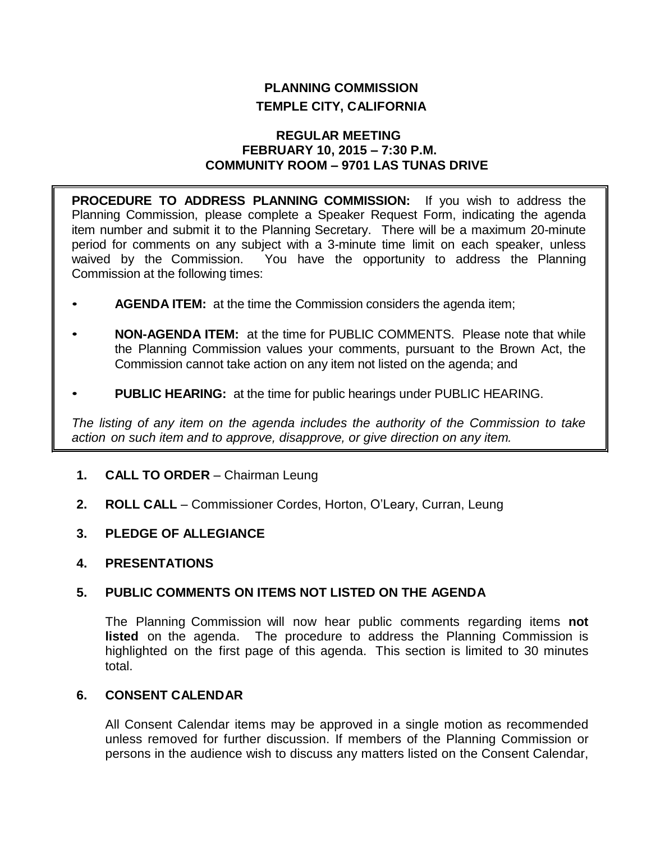# **PLANNING COMMISSION TEMPLE CITY, CALIFORNIA**

### **REGULAR MEETING FEBRUARY 10, 2015 – 7:30 P.M. COMMUNITY ROOM – 9701 LAS TUNAS DRIVE**

**PROCEDURE TO ADDRESS PLANNING COMMISSION:** If you wish to address the Planning Commission, please complete a Speaker Request Form, indicating the agenda item number and submit it to the Planning Secretary. There will be a maximum 20-minute period for comments on any subject with a 3-minute time limit on each speaker, unless waived by the Commission. You have the opportunity to address the Planning Commission at the following times:

- **AGENDA ITEM:** at the time the Commission considers the agenda item;
- **NON-AGENDA ITEM:** at the time for PUBLIC COMMENTS. Please note that while the Planning Commission values your comments, pursuant to the Brown Act, the Commission cannot take action on any item not listed on the agenda; and
- **PUBLIC HEARING:** at the time for public hearings under PUBLIC HEARING.

*The listing of any item on the agenda includes the authority of the Commission to take action on such item and to approve, disapprove, or give direction on any item.*

- **1. CALL TO ORDER**  Chairman Leung
- **2. ROLL CALL**  Commissioner Cordes, Horton, O'Leary, Curran, Leung
- **3. PLEDGE OF ALLEGIANCE**
- **4. PRESENTATIONS**

## **5. PUBLIC COMMENTS ON ITEMS NOT LISTED ON THE AGENDA**

The Planning Commission will now hear public comments regarding items **not listed** on the agenda. The procedure to address the Planning Commission is highlighted on the first page of this agenda. This section is limited to 30 minutes total.

#### **6. CONSENT CALENDAR**

All Consent Calendar items may be approved in a single motion as recommended unless removed for further discussion. If members of the Planning Commission or persons in the audience wish to discuss any matters listed on the Consent Calendar,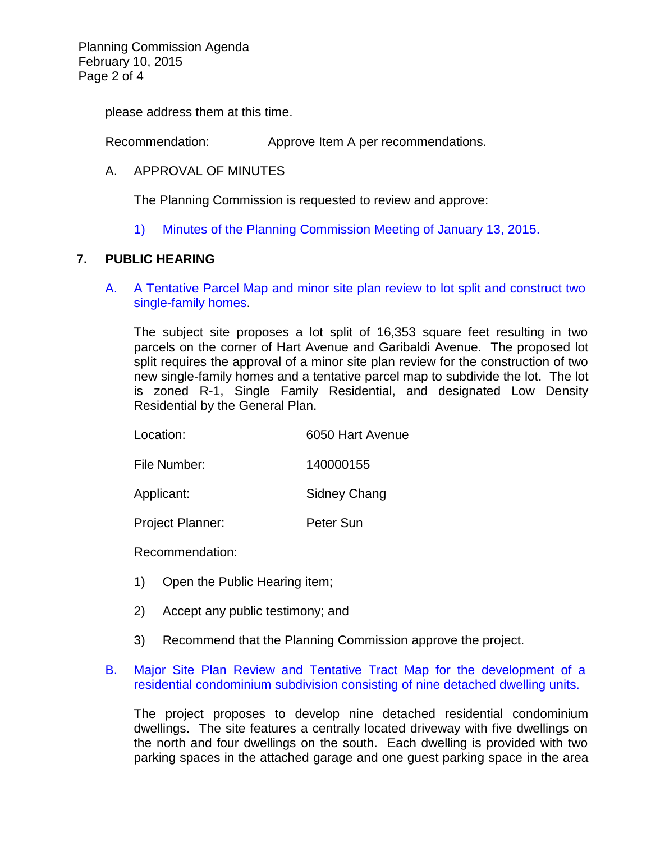Planning Commission Agenda February 10, 2015 Page 2 of 4

please address them at this time.

Recommendation: Approve Item A per recommendations.

### A. APPROVAL OF MINUTES

The Planning Commission is requested to review and approve:

1) Minutes of the [Planning Commission Meeting](http://ca-templecity.civicplus.com/DocumentCenter/View/2497) of January 13, 2015.

#### **7. PUBLIC HEARING**

A. [A Tentative Parcel Map and minor site plan review to lot split and construct two](http://ca-templecity.civicplus.com/DocumentCenter/View/2495)  [single-family homes.](http://ca-templecity.civicplus.com/DocumentCenter/View/2495)

The subject site proposes a lot split of 16,353 square feet resulting in two parcels on the corner of Hart Avenue and Garibaldi Avenue. The proposed lot split requires the approval of a minor site plan review for the construction of two new single-family homes and a tentative parcel map to subdivide the lot. The lot is zoned R-1, Single Family Residential, and designated Low Density Residential by the General Plan.

| Location:    | 6050 Hart Avenue |
|--------------|------------------|
| File Number: | 140000155        |

Applicant: Sidney Chang

Project Planner: Peter Sun

Recommendation:

- 1) Open the Public Hearing item;
- 2) Accept any public testimony; and
- 3) Recommend that the Planning Commission approve the project.

#### B. [Major Site Plan Review and Tentative Tract Map for the development of a](http://ca-templecity.civicplus.com/DocumentCenter/View/2498)  [residential condominium subdivision consisting of nine detached dwelling units.](http://ca-templecity.civicplus.com/DocumentCenter/View/2498)

The project proposes to develop nine detached residential condominium dwellings. The site features a centrally located driveway with five dwellings on the north and four dwellings on the south. Each dwelling is provided with two parking spaces in the attached garage and one guest parking space in the area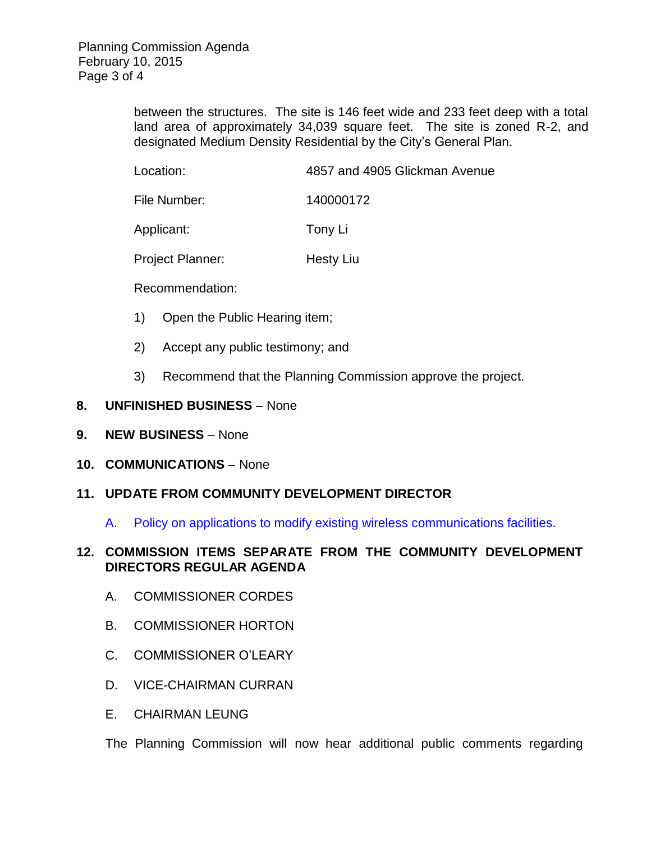between the structures. The site is 146 feet wide and 233 feet deep with a total land area of approximately 34,039 square feet. The site is zoned R-2, and designated Medium Density Residential by the City's General Plan.

File Number: 140000172

Applicant: Tony Li

Project Planner: Hesty Liu

Recommendation:

- 1) Open the Public Hearing item;
- 2) Accept any public testimony; and
- 3) Recommend that the Planning Commission approve the project.

## **8. UNFINISHED BUSINESS** – None

- **9. NEW BUSINESS** None
- **10. COMMUNICATIONS** None

## **11. UPDATE FROM COMMUNITY DEVELOPMENT DIRECTOR**

A. [Policy on applications to modify existing wireless communications facilities.](http://ca-templecity.civicplus.com/DocumentCenter/View/2496)

## **12. COMMISSION ITEMS SEPARATE FROM THE COMMUNITY DEVELOPMENT DIRECTORS REGULAR AGENDA**

- A. COMMISSIONER CORDES
- B. COMMISSIONER HORTON
- C. COMMISSIONER O'LEARY
- D. VICE-CHAIRMAN CURRAN
- E. CHAIRMAN LEUNG

The Planning Commission will now hear additional public comments regarding